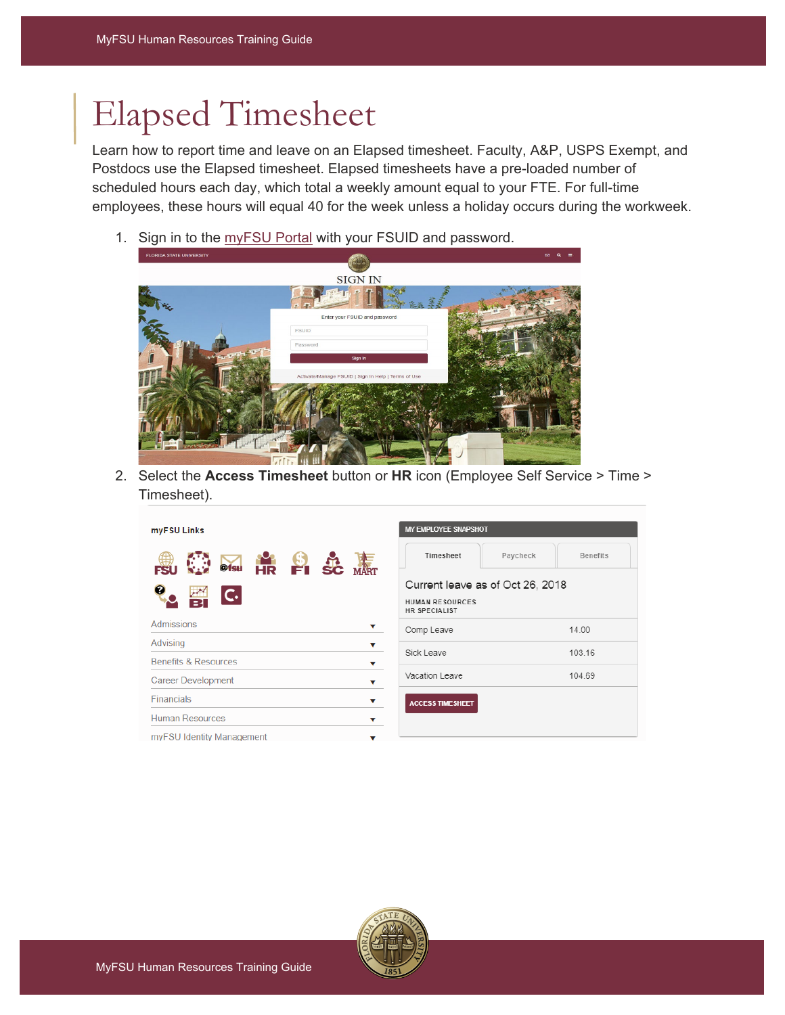## Elapsed Timesheet

Learn how to report time and leave on an Elapsed timesheet. Faculty, A&P, USPS Exempt, and Postdocs use the Elapsed timesheet. Elapsed timesheets have a pre-loaded number of scheduled hours each day, which total a weekly amount equal to your FTE. For full-time employees, these hours will equal 40 for the week unless a holiday occurs during the workweek.

1. Sign in to the [myFSU Portal](https://www.my.fsu.edu/) with your FSUID and password.

| <b>FLORIDA STATE UNIVERSITY</b> |                                                     | $\boxdot$ Q<br>$\equiv$ |
|---------------------------------|-----------------------------------------------------|-------------------------|
|                                 |                                                     |                         |
|                                 | <b>SIGN IN</b>                                      |                         |
| w                               | 美卖                                                  |                         |
|                                 | Enter your FSUID and password                       |                         |
|                                 | <b>FSUID</b>                                        |                         |
|                                 | Password                                            |                         |
|                                 | Sign In                                             |                         |
|                                 | Activate/Manage FSUID   Sign In Help   Terms of Use |                         |
|                                 |                                                     |                         |
|                                 |                                                     |                         |
|                                 |                                                     |                         |
|                                 |                                                     |                         |
|                                 |                                                     |                         |
| $\overline{\mathbf{f}}$         |                                                     |                         |

2. Select the **Access Timesheet** button or **HR** icon (Employee Self Service > Time > Timesheet).

| myFSU Links                          | MY EMPLOYEE SNAPSHOT                           |                             |  |  |  |  |
|--------------------------------------|------------------------------------------------|-----------------------------|--|--|--|--|
| <b>OS HR FI SC WAT</b><br>FS         | Timesheet                                      | Paycheck<br><b>Benefits</b> |  |  |  |  |
|                                      | Current leave as of Oct 26, 2018               |                             |  |  |  |  |
| $\overline{C}$                       | <b>HUMAN RESOURCES</b><br><b>HR SPECIALIST</b> |                             |  |  |  |  |
| <b>Admissions</b>                    | Comp Leave                                     | 14.00                       |  |  |  |  |
| Advising<br>v                        |                                                |                             |  |  |  |  |
| <b>Benefits &amp; Resources</b><br>v | Sick Leave                                     | 103.16                      |  |  |  |  |
| <b>Career Development</b><br>v       | Vacation Leave                                 | 104.69                      |  |  |  |  |
| <b>Financials</b><br>v               | <b>ACCESS TIMESHEET</b>                        |                             |  |  |  |  |
| <b>Human Resources</b>               |                                                |                             |  |  |  |  |
| myFSU Identity Management            |                                                |                             |  |  |  |  |

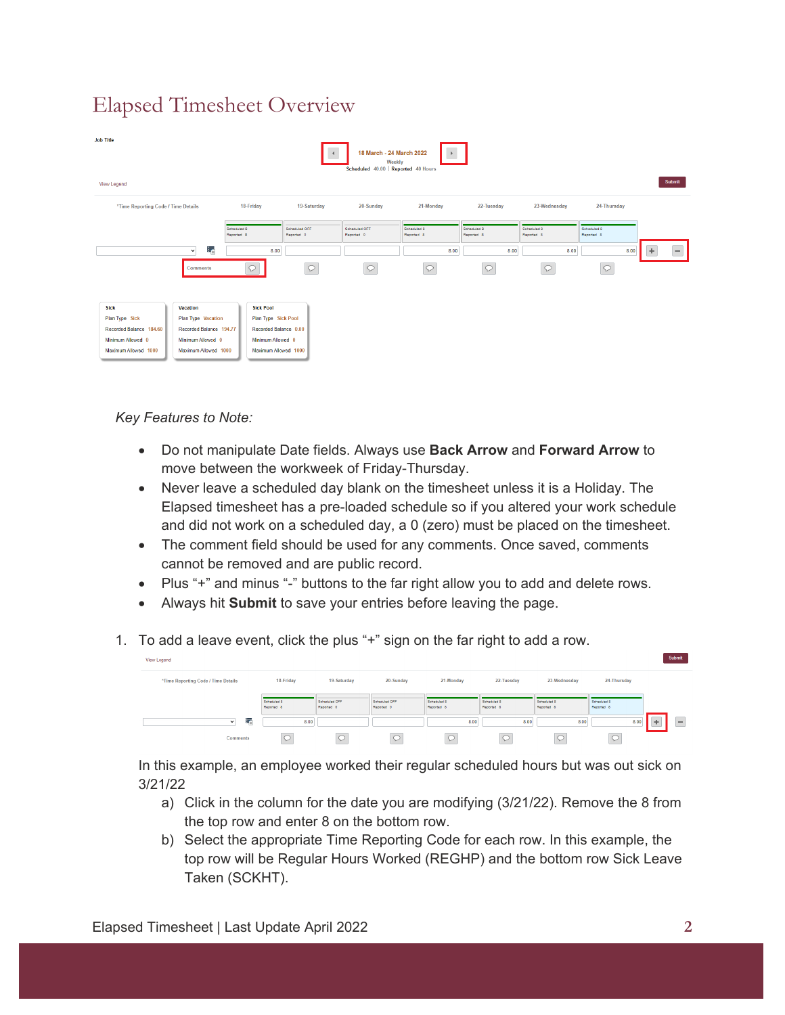## Elapsed Timesheet Overview

| <b>Job Title</b><br>18 March - 24 March 2022<br>Weekly<br>Scheduled 40.00 Reported 40 Hours<br>Submit<br><b>View Legend</b>                                                                                            |                                                                                                               |                             |                             |                           |                           |                           |                           |                               |  |
|------------------------------------------------------------------------------------------------------------------------------------------------------------------------------------------------------------------------|---------------------------------------------------------------------------------------------------------------|-----------------------------|-----------------------------|---------------------------|---------------------------|---------------------------|---------------------------|-------------------------------|--|
| *Time Reporting Code / Time Details                                                                                                                                                                                    | 18-Friday                                                                                                     | 19-Saturday                 | 20-Sunday                   | 21-Monday                 | 22-Tuesday                | 23-Wednesday              | 24-Thursday               |                               |  |
|                                                                                                                                                                                                                        | Scheduled 8<br>Reported 8                                                                                     | Scheduled OFF<br>Reported 0 | Scheduled OFF<br>Reported 0 | Scheduled 8<br>Reported 8 | Scheduled 8<br>Reported 8 | Scheduled 8<br>Reported 8 | Scheduled 8<br>Reported 8 |                               |  |
| ŧ.<br>$\checkmark$                                                                                                                                                                                                     | 8.00                                                                                                          |                             |                             | 8.00                      | 8.00                      | 8.00                      | 8.00                      | $\overline{\phantom{0}}$<br>÷ |  |
| <b>Comments</b>                                                                                                                                                                                                        | С                                                                                                             | $\circlearrowright$         |                             | $\circlearrowright$       | $\circlearrowright$       | $\circ$                   | Q                         |                               |  |
| <b>Sick</b><br><b>Vacation</b><br>Plan Type Sick<br>Plan Type Vacation<br>Recorded Balance 184.60<br>Recorded Balance 194.77<br>Minimum Allowed 0<br>Minimum Allowed 0<br>Maximum Allowed 1000<br>Maximum Allowed 1000 | <b>Sick Pool</b><br>Plan Type Sick Pool<br>Recorded Balance 0.00<br>Minimum Allowed 0<br>Maximum Allowed 1000 |                             |                             |                           |                           |                           |                           |                               |  |

*Key Features to Note:*

- Do not manipulate Date fields. Always use **Back Arrow** and **Forward Arrow** to move between the workweek of Friday-Thursday.
- Never leave a scheduled day blank on the timesheet unless it is a Holiday. The Elapsed timesheet has a pre-loaded schedule so if you altered your work schedule and did not work on a scheduled day, a 0 (zero) must be placed on the timesheet.
- The comment field should be used for any comments. Once saved, comments cannot be removed and are public record.
- Plus "+" and minus "-" buttons to the far right allow you to add and delete rows.
- Always hit **Submit** to save your entries before leaving the page.
- 1. To add a leave event, click the plus "+" sign on the far right to add a row.

| View Legend                         |                           |                             |                             |                           |                           |                           |                           | Submit                         |
|-------------------------------------|---------------------------|-----------------------------|-----------------------------|---------------------------|---------------------------|---------------------------|---------------------------|--------------------------------|
| *Time Reporting Code / Time Details | 18-Friday                 | 19-Saturday                 | 20-Sunday                   | 21-Monday                 | 22-Tuesday                | 23-Wednesday              | 24-Thursday               |                                |
|                                     | Scheduled 8<br>Reported 8 | Scheduled OFF<br>Reported 0 | Scheduled OFF<br>Reported 0 | Scheduled 8<br>Reported 8 | Scheduled 8<br>Reported 8 | Scheduled 8<br>Reported 8 | Scheduled 8<br>Reported 8 |                                |
| 독<br>$\checkmark$                   | 8.00                      |                             |                             | 8.00                      | 8.00                      | 8.00                      | 8.00                      | __<br>$\overline{\phantom{a}}$ |
| <b>Comments</b>                     | $\sim$                    | $\sim$<br>Q                 | $\sim$                      |                           | ≻                         |                           | ⊊                         |                                |

In this example, an employee worked their regular scheduled hours but was out sick on 3/21/22

- a) Click in the column for the date you are modifying (3/21/22). Remove the 8 from the top row and enter 8 on the bottom row.
- b) Select the appropriate Time Reporting Code for each row. In this example, the top row will be Regular Hours Worked (REGHP) and the bottom row Sick Leave Taken (SCKHT).